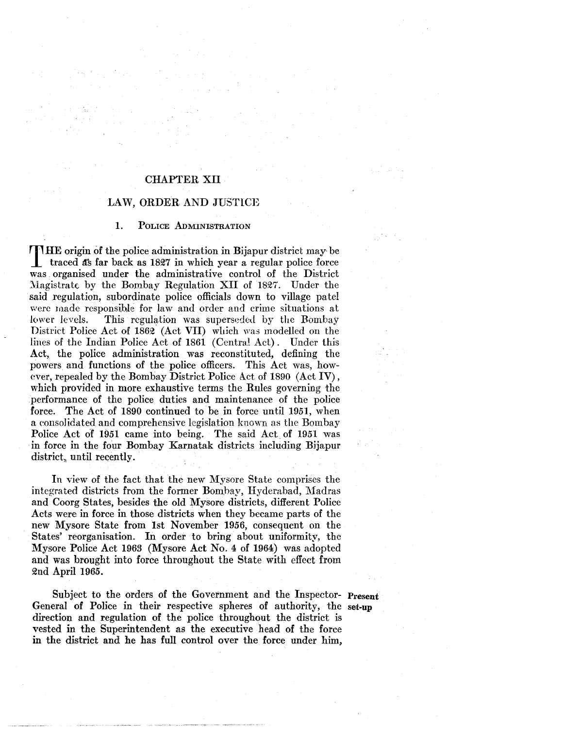# CHAPTER XII

## LAW, ORDER AND JUSTICE

### 1. PoLICE ADMINISTRATION

THE origin of the police administration in Bijapur district may- be traced  $\bar{a}$ s far back as 1827 in which year a regular police force was . organised under the administrative control of the District Magistrate by the Bombay Regulation XII of 1827. Under the said regulation, subordinate police officials down to village pate! were wade responsible for law and order and crime situations at lower levels. This regulation was superseded by the Bombay District Police Act of 1862 (Act VII) which was modelled on the lines of the Indian Police Act of 1861 (Central Act). Under this Act, the police administration was reconstituted, defining the powers and functions of the police officers. This Act was, however, repealed by the Bombay District Police Act of 1890 (Act IV), which provided in more exhaustive terms the Rules governing the performance of the police duties and maintenance of the police force. The Act of 1890 continued to be in force until 1951, when a eonsolidated and comprehensive legislation known as the Bombay Police Act of 1951 came into being. The said Act of 1951 was ·in force in the four Bombay Karnatak districts including Bijapur district, until recently.

In view of the fact that the new Mysore State comprises the integrated districts from the former Bombay, Hydembad, Madras and Coorg States, besides the old Mysore districts, different Police Acts were in force in those districts when they became parts of the new Mysore State from 1st November 1956, consequent on the States' reorganisation. In order to bring about uniformity, the Mysore Police Act 1963 (Mysore Act No. 4 of 1964) was adopted and was brought into force throughout the State with effect from Qnd April 1965.

Subject to the orders of the Government and the Inspector- Present General of Police in their respective spheres of authority, the set-up direction and regulation of the police throughout the district is vested in the Superintendent as the executive head of the force in the district and he has **full** control over the force under him,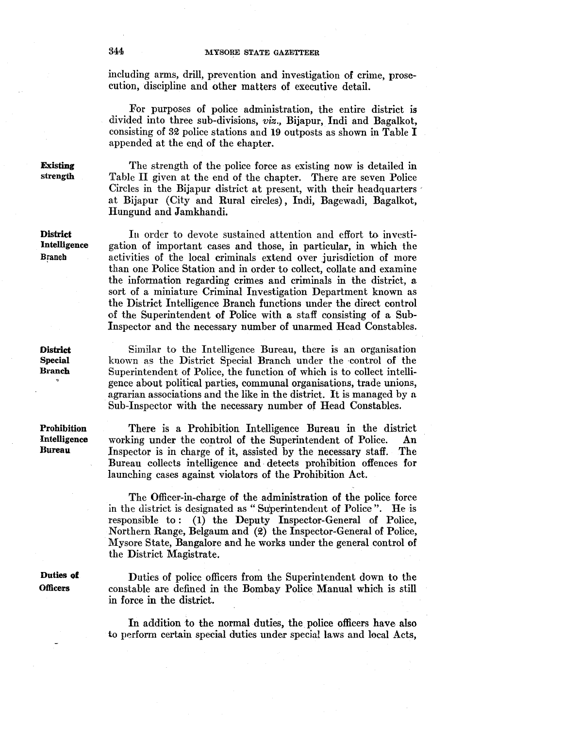including arms, drill, prevention and investigation of crime, prosecution, discipline and other matters of executive detail.

For purposes of police administration, the entire district is divided into three sub-divisions, *viz.*, Bijapur, Indi and Bagalkot, consisting of 32 police stations and 19 outposts as shown in Table  $I$ appended at the end of the ehapter.

The strength of the police force as existing now is detailed in Table II given at the end of the chapter. There are seven Police Circles in the Bijapur district at present, with their headquarters at Bijapur (City and Rural circles), Indi, Bagewadi, Bagalkot, Hungund and Jamkhandi.

In order to devote sustained attention and effort to investigation of important cases and those, in particular, in which the activities of the local criminals extend over jurisdiction of more than one Police Station and in order to collect, collate and examine the information regarding crimes and criminals in the district, a sort of a miniature Criminal Investigation Department known as the District Intelligence Branch functions under the direct control of the Superintendent of Police with a staff consisting of a Sub-Inspector and the necessary number of unarmed Head Constables.

Similar to the Intelligence Bureau, there is an organisation known as the District Special Branch under the -control of the Superintendent of Police, the function of which is to collect intelligence about political parties, communal organisations, trade unions, agrarian associations and the like in the district. It is managed by a Sub-Inspector with the necessary number of Head Constables.

There is a Prohibition Intelligence Bureau in the district working under the control of the Superintendent of Police. An Inspector is in charge of it, assisted by the necessary staff. The Bureau collects intelligence and- detects prohibition offences for launching cases against violators of the Prohibition Act.

The Officer-in-charge of the administration of the police force in the district is designated as "Superintendent of Police". He is responsible to: (I) the Deputy Inspector-General of Police, Northern Range, Belgaum and (2) the Inspector-General of Police, Mysore State, Bangalore and he works under the general control of the District Magistrate.

Duties of police officers from the Superintendent down to the constable are defined in the Bombay Police Manual which is still in force in the district.

In addition to the normal duties, the police officers have also to perform certain special duties under special laws and local Acts,

Existing strength

**District** Intelligence Branch

Prohibition Intelligence Bureau

Duties of **Officers**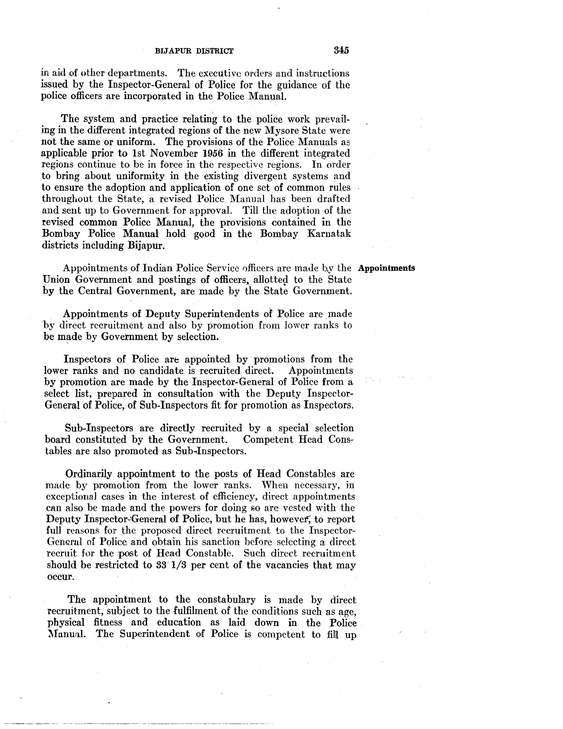in aid of other departments. The executive orders and instructions issued by the Inspector-General of Police for the guidance of the police officers are incorporated in the Police Manual.

The system and practice relating to the police work prevailing in the different integrated regions of the new Mysore State were not the same or uniform. The provisions of the Police Manuals as applicable prior to 1st November 1956 in the different integrated regions continue to be in force in the respective regions. In order to bring about uniformity in the existing divergent systems and to ensure the adoption and application of one set of common rules throughout the State, a revised Police Manual has been drafted and sent up to Government for approval. Till the adoption of the revised common Police Manual, the provisions contained in the Bombay Police Manual hold good in the Bombay Karnatak districts including Bijapur.

Appointments of Indian Police Service officers are made b.y the **Appointments**  Union Government and postings of officers, allotted to the State by the Central Government, are made by the State Government.

Appointments of Deputy Superintendents of Police are made by direct recruitment and also by promotion from lower ranks to be made by Government by selection.

Inspectors of Police are appointed by promotions from the<br>er ranks and no candidate is recruited direct. Appointments lower ranks and no candidate is recruited direct. by promotion are made by the Inspector-General· of Police from a select list, prepared in consultation with the Deputy Inspector-General of Police, of Sub-Inspectors fit for promotion as Inspectors.

Sub-Inspectors are directly recruited by a special selection board constituted by the Government. Competent Head Constables are also promoted as Sub-Inspectors.

Ordinarily appointment to the posts of Head Constables are made by promotion from the lower ranks. When necessary, in exceptional cases in the interest of efficiency, direct appointments can also be made and the powers for doing so are vested with the Deputy Inspector~General of Police, but he has, however, to report full reasons for the proposed direct recruitment to the Inspector-General of Police and obtain his sanction before selecting a direct recruit for the post of Head Constable. Such direct recruitment should be restricted to 83' 1/3 per cent of the vacancies that may occur.

The appointment to the constabulary is made by direct recruitment, subject to the fulfilment of the conditions such as age, physical fitness and education as laid down in the Police Manual. The Superintendent of Police is competent to fill up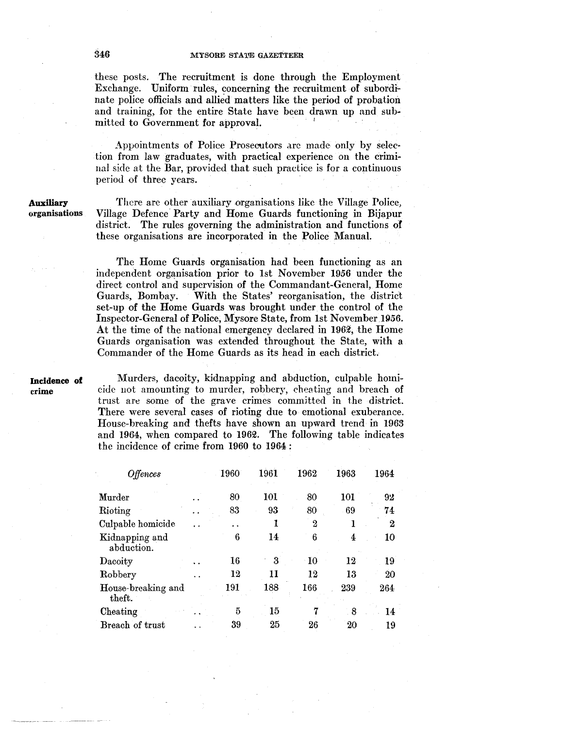these posts. The recruitment is done through the Employment Exchange. Uniform rules, concerning the recruitment of subordinate police officials and allied matters like the period of probation and training, for the entire State have been drawn up and sub· mitted to Government for approval.

Appointments of Police Prosewtors arc made only by selec· tion from law graduates, with practical experience on the crimi· nal side at the Bar, provided that such practice is for a continuous period of three years.

**Auxiliary**  organisations

There are other auxiliary organisations like the Village Police, Village Defence Party and Home Guards functioning in Bijapur district. The rules governing the administration and functions of these organisations are incorporated in the Police Manual.

The Home Guards organisation had been functioning as an independent organisation prior to 1st November 1956 under the direct control and supervision of the Commandant-General, Home Guards, Bombay. With the States' reorganisation, the district set~up of the Home Guards was brought under the control of the Inspector-General of Police, Mysore State, from 1st November 1956. At the time of the national emergency declared in  $196\%$ , the Home Guards organisation was extended throughout the State, with a Commander of the Home Guards as its head in each district.

**Incidence of**  crime

Murders, dacoity, kidnapping and abduction, culpable homicide uot amounting to murder, robbery, cheating and breach of trust are some of the grave crimes committed in the district. There were several cases of rioting due to emotional exuberance. House~breaking and thefts have shown an upward trend in 1963 and 1964, when compared to 1962. The following table indicates the incidence of crime from 1960 to 1964 :

| Offences                     | 1960 | 1961 | 1962 | 1963 | 1964 |
|------------------------------|------|------|------|------|------|
| ${\bf Murder}$               | 80   | 101  | 80   | 101  | 92   |
| Rioting                      | 83   | 93   | 80   | 69   | 74   |
| Culpable homicide            | . .  | 1    | 2    |      | 2    |
| Kidnapping and<br>abduction. | 6    | 14   | 6    | 4    | 10   |
| Dacoity                      | 16   | 3    | 10   | 12   | 19   |
| Robbery                      | 12   | 11   | 12   | 13   | 20   |
| House-breaking and<br>theft. | 191  | 188  | 166  | 239  | 264  |
| Cheating                     | 5    | 15   |      | 8    | 14   |
| Breach of trust              | 39   | 25   | 26   | 20   | 19   |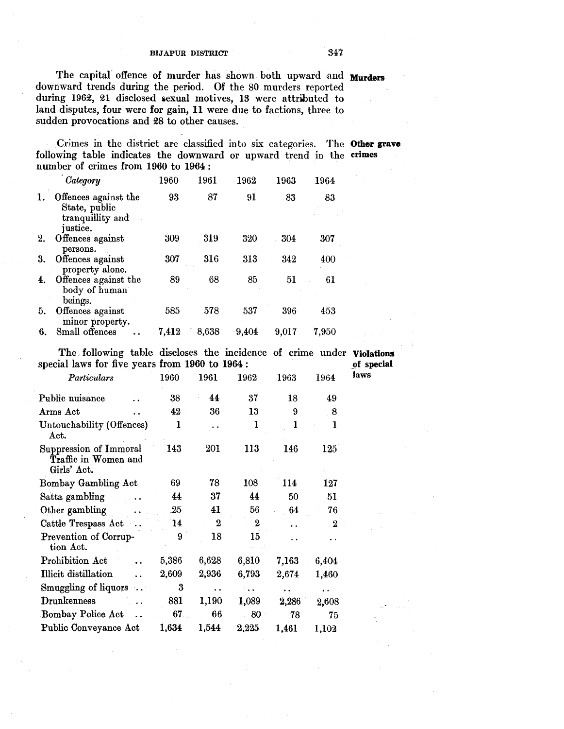The capital offence of murder has shown both upward and **Murders**  downward trends during the period. Of the 80 murders reported during 1962, 21 disclosed sexual motives, 13 were attributed to land disputes, four were for gain, 11 were due to factions, three to sudden provocations and 28 to other causes.

Crimes in the district are classified inb) six categories. The **Other grave**  following table indicates the downward or upward trend in the crimes number of crimes from 1960 to 1964 :

|    | Category                                                              | 1960  | 1961  | $\overline{1962}$ | 1963  | 1964  |  |
|----|-----------------------------------------------------------------------|-------|-------|-------------------|-------|-------|--|
|    | Offences against the<br>State, public<br>tranquillity and<br>justice. | 93    | 87    | 91                | 83    | 83    |  |
| 2. | Offences against<br>persons.                                          | 309   | 319   | 320               | 304   | 307   |  |
| 3. | Offences against<br>property alone.                                   | 307   | 316   | 313               | 342   | 400   |  |
| 4. | Offences against the<br>body of human<br>beings.                      | 89    | 68    | 85                | 51    | 61    |  |
| 5. | Offences against<br>minor property.                                   | 585   | 578   | 537               | 396   | 453   |  |
| 6. | Small offences                                                        | 7,412 | 8,638 | 9,404             | 9,017 | 7,950 |  |

The, following table discloses the incidence of crime under **Violations**  special laws for five years from  $1960$  to  $1964$ :

| Particulars                                                   | 1960  | 1961     | 1962      | 1963                 | 1964             | laws |
|---------------------------------------------------------------|-------|----------|-----------|----------------------|------------------|------|
| Public nuisance                                               | 38    | 44       | 37        | 18                   | 49               |      |
| Arms Act                                                      | 42    | 36       | 13        | 9                    | 8                |      |
| Untouchability (Offences)<br>Act.                             | 1     |          | 1         | 1                    | 1                |      |
| Suppression of Immoral<br>Traffic in Women and<br>Girls' Act. | 143   | 201      | 113       | 146                  | 125              |      |
| Bombay Gambling Act                                           | 69    | 78       | 108       | 114                  | 127              |      |
| Satta gambling                                                | 44    | 37.      | 44        | 50                   | 51               |      |
| Other gambling<br>$\ddotsc$                                   | 25    | 41       | 56        | 64                   | 76               |      |
| Cattle Trespass Act                                           | 14    | $\bf{2}$ | 2         | $\ddot{\phantom{0}}$ | $\boldsymbol{2}$ |      |
| Prevention of Corrup-<br>tion Act.                            | 9     | 18       | $15\,$    |                      |                  |      |
| Prohibition Act                                               | 5,386 | 6,628    | 6,810     | 7,163                | 6,404            |      |
| Illicit distillation                                          | 2,609 | 2,936    | 6,793     | 2,674                | 1,460            |      |
| Smuggling of liquors                                          | 3     |          | $\ddotsc$ |                      |                  |      |
| <b>Drunkenness</b>                                            | 881   | 1,190    | 1,089     | 2,286                | 2,608            |      |
| Bombay Police Act                                             | 67    | 66       | 80        | 78                   | 75               |      |
| Public Conveyance Act                                         | 1,634 | 1,544    | 2,225     | 1,461                | 1,102            |      |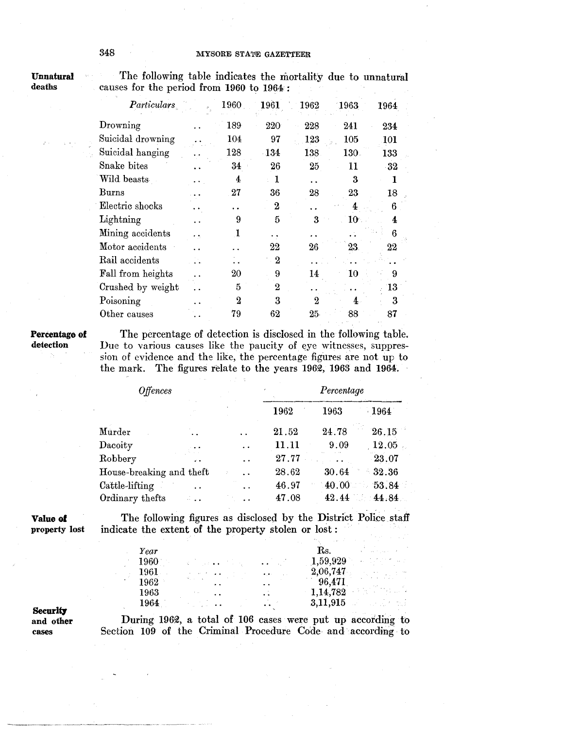Unnatural deaths

 $\sim$ The following table indicates the mortality due to unnatural causes for the period from 1960 to 1964 :

| π.  | 1960 | 1961     | 1962    | <b>1963</b>  | 1964 |
|-----|------|----------|---------|--------------|------|
|     | 189  | 220      | 228     | 241          | 234  |
|     | 104  | 97       | $123\,$ | 105          | 101  |
|     | 128  | $-134$   | 138     | <b>130</b>   | 133  |
|     | 34   | 26       | $25\,$  | 11           | -32  |
|     | 4    | 1        |         | 3            |      |
|     | 27   | 36       | 28      | 23           | 18   |
|     |      | $\bf{2}$ | . .     |              | 6    |
|     | 9    | 5        | 3       | $10^{\circ}$ | 4    |
| e k | 1    | . .      |         |              | 6    |
|     |      | 22       | 26      | $23\,$       | 22   |
|     |      | 2        |         |              |      |
|     | 20   | 9        | 14      | 10           | 9    |
|     | 5    | $\bf{2}$ |         |              | 13   |
|     | 2    | 3        | 9.      |              | 3    |
|     | 79   | 62       | 25      | 88           | 87   |
|     |      |          |         |              |      |

## Percentage **of**  detection

The percentage of detection is disclosed in the following table. Due to various causes like the paucity of eye witnesses, suppression of evidence and the like, the percentage figures are not up to the mark. The figures relate to the years 1962, 1963 and 1964.

| <b>Offences</b>          |                      |                      | Percentage |       |          |
|--------------------------|----------------------|----------------------|------------|-------|----------|
|                          |                      |                      | 1962       | 1963  | 1964     |
| $\bm{\mathrm{M}}$ urder  |                      |                      | 21.52      | 24.78 | 26.15    |
| $\rm Dacosity$           |                      |                      | 11.11      | 9.09  | 12.05    |
| Robbery                  |                      |                      | 27.77      |       | $-23.07$ |
| House-breaking and theft |                      | $\ddot{\phantom{a}}$ | 28.62      | 30.64 | 32.36    |
| Cattle-lifting           | $\ddot{\phantom{1}}$ |                      | 46.97      | 40.00 | 53.84    |
| Ordinary thefts          |                      |                      | 47.08      | 42.44 | 44.84    |
|                          |                      |                      |            |       |          |

**Value of**  property lost

The following figures as disclosed by the District Police staff indicate the extent of the property stolen or lost :

| Year     |                 |                                                                                 | $\rm Rs.$                 | العاملين والمواردة أأنها المتناو                                                                                                                                                                                                                                                                                                                                 |
|----------|-----------------|---------------------------------------------------------------------------------|---------------------------|------------------------------------------------------------------------------------------------------------------------------------------------------------------------------------------------------------------------------------------------------------------------------------------------------------------------------------------------------------------|
| 1960     | k (biska) (bisk | $\bullet$ $\bullet$ $\bullet$ $\bullet$ $\bullet$ $\bullet$ $\bullet$ $\bullet$ | 1,59,929                  | $\alpha = \frac{1}{2} \sum_{i=1}^n \frac{1}{2} \sum_{j=1}^n \frac{1}{2} \sum_{j=1}^n \frac{1}{2} \sum_{j=1}^n \frac{1}{2} \sum_{j=1}^n \frac{1}{2} \sum_{j=1}^n \frac{1}{2} \sum_{j=1}^n \frac{1}{2} \sum_{j=1}^n \frac{1}{2} \sum_{j=1}^n \frac{1}{2} \sum_{j=1}^n \frac{1}{2} \sum_{j=1}^n \frac{1}{2} \sum_{j=1}^n \frac{1}{2} \sum_{j=1}^n \frac{1}{2} \sum$ |
| $1961$ . |                 | $\mathbf{r}$ , $\mathbf{r}$ :                                                   | 2,06,747                  | $\label{eq:2} \begin{array}{l} \mathcal{E}_{\mathcal{M}} = \frac{1}{2} \mathcal{E} \left[ \begin{array}{cc} \mathcal{E}_{\mathcal{M}} & \mathcal{E}_{\mathcal{M}} \\ \mathcal{E}_{\mathcal{M}} & \mathcal{E}_{\mathcal{M}} \end{array} \right] \mathcal{E}_{\mathcal{M}} \end{array} \end{array}$                                                                |
| 1962     |                 | $\sim 10^{-10}$                                                                 | 96,471                    |                                                                                                                                                                                                                                                                                                                                                                  |
| 1963     | . .             | $\mathcal{L}$                                                                   | 1,14,782                  | a ng Creata                                                                                                                                                                                                                                                                                                                                                      |
| 1964     |                 | $\sim$ and $\sim$                                                               | $3,11,915$ and $3,11,915$ |                                                                                                                                                                                                                                                                                                                                                                  |
|          |                 |                                                                                 |                           |                                                                                                                                                                                                                                                                                                                                                                  |

## **Security** and other cases

During 1962, a total of 106 cases were put up according to Section 109 of the Criminal Procedure Code and according to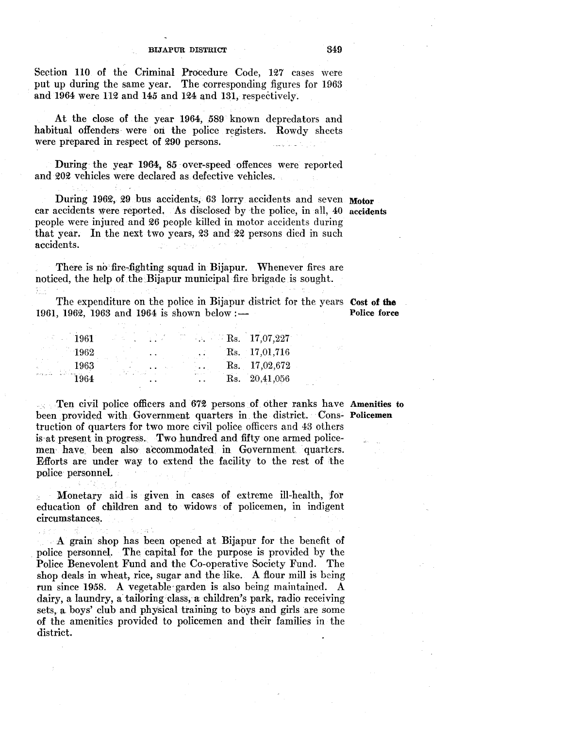Section 110 of the Criminal Procedure Code, 127 cases were put up during the same year. The corresponding figures for 1963 and 1964 were 112 and 145 and 124 and 131, respectively.

At the close of the year 1964, 589 known depredators and habitual offenders were on the police registers. Rowdy sheets were prepared in respect of 290 persons.

During the year 1964, 85 over-speed offences were reported and 202 vehicles were declared as defective vehicles.

During 1962, 29 bus accidents, 63 lorry accidents and seven Motor car accidents were reported, As disclosed by the police, in all, 40 accidents people were injmed and 26 people killed in motor accidents during that year. In the next two years, 23 and 22 persons died in such accidents.

There is no fire-fighting squad in Bijapur. Whenever fires are noticed, the help of the Bijapur municipal fire brigade is sought.

The expenditure on the police in Bijapur district for the years Cost of the 1961, 1962, 1963 and 1964 is shown below: $\frac{1}{2}$  Police force

| 1961 |  | $R_{\rm S.} = 17,07,227$ |
|------|--|--------------------------|
| 1962 |  | Rs. 17,01,716            |
| 1963 |  | $R_s$ , 17,02,672        |
| 1964 |  | Rs. 20,41,056            |

ិ<br>ទទួលចំ*ប*ំ

Ten civil police officers and 672 persons of other ranks have Amenities to been provided with. Government quarters in. the district. Cons- Policemen truction of quarters for two more civil police officers and 43 others is at present in progress. Two hundred and fifty one armed policemen have been also accommodated in Government quarters. Efforts are under way to extend the facility to the rest of the police personnel.

Monetary aid is given in eases of extreme ill-health, for education of children and to widows of policemen, in indigent circumstances.

35145 A grain shop has been opened at Bijapur for the benefit of police personnel. The capital for the purpose is provided by the Police Benevolent Fund and the Co-operative Society Fund. The shop deals in wheat, rice, sugar and the like. A flour mill is being run since 1958. A vegetable· garden is also being maintained. A dairy, a laundry, a tailoring class, a children's park, radio receiving sets, a boys' club and physical training to boys and girls are some of the amenities provided to policemen and their families in the district.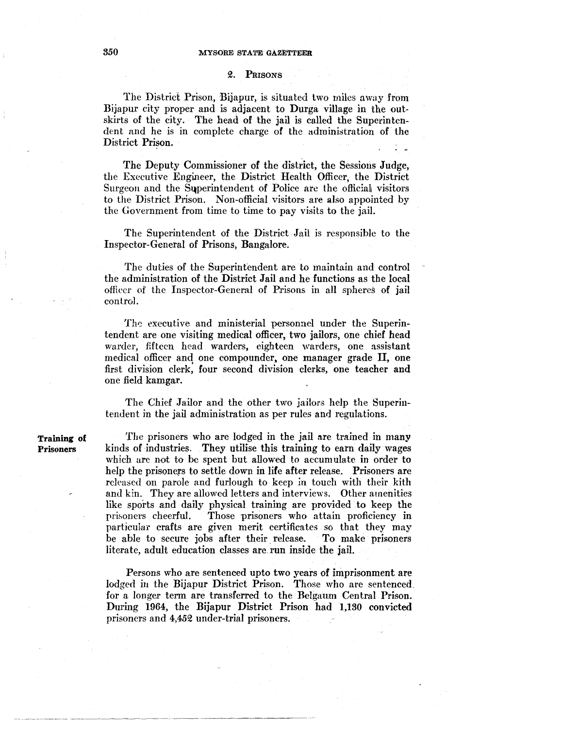### Q. PRISONS

The District Prison, Bijapur, is situated two miles away from Bijapur city proper and is adjacent to Durga village in the outskirts of the city. The head of the jail is called the Superintendent and he is in complete charge of the administration of the District Prison. t C

The Deputy Commissioner of the district, the Sessions Judge, the Executive Engineer, the District Health Officer, the District Surgeon and the Superintendent of Police are the official visitors to the District Prison. Non-official visitors are also appointed by the Government from time to time to pay visits to the jail.

The Superintendent of the District Jail is responsible to the Inspector-General of Prisons, Bangalore.

The duties of the Superintendent are to maintain and control the administration of the District Jail and he functions as the local officer of the Inspector-General of Prisons in all spheres of jail control.

The executive and ministerial personnel under the Superintendent are one visiting medical officer, two jailors, one chief head warder, fifteen head warders, eighteen warders, one assistant medical officer and one compounder, one manager grade II, one first division clerk, four second division clerks, one teacher and one field kamgar.

The Chief Jailor and the other two jailors help the Superintendent in the jail administration as per rules and regulations.

Training of Prisoners

The prisoners who are lodged in the jail are trained in many kinds of industries. They utilise this training to earn daily wages which are not to be spent but allowed to accumulate in order to help the prisoners to settle down in life after release. Prisoners are released on parole and furlough to keep *in* touch with their kith and kin. They are allowed letters and interviews. Other amenities like sports and daily physical training are provided to keep the prisoners cheerful. Those prisoners who attain proficiency in particular crafts are given merit certificates so that they may be able to secure jobs after their release. To make prisoners literate, adult education classes are. run inside the jail.

Persons who are sentenced upto two years of imprisonment are lodged in the Bijapur District Prison. Those who are sentenced. for a longer term are transferred to the Belgaum Central Prison. During 1964, the Bijapur District Prison had 1,130 convicted prisoners and 4,45Q under-trial prisoners.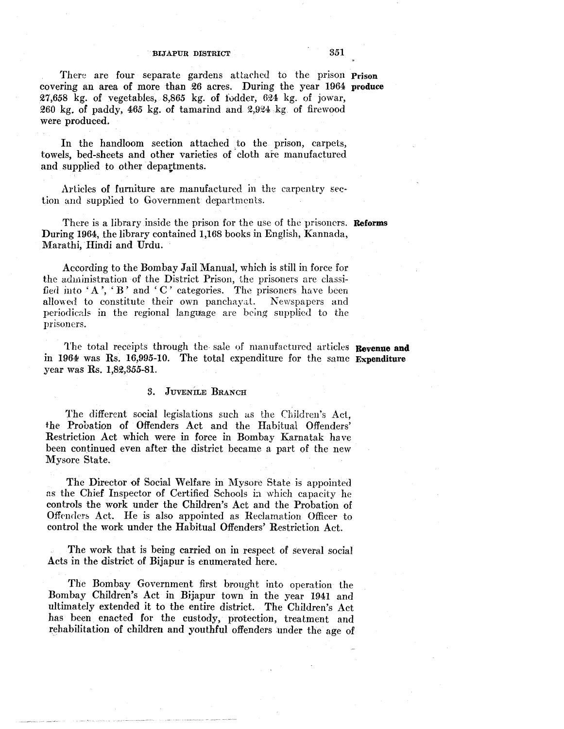There are four separate gardens attached to the prison Prison covering an area of more than 26 acres. During the year 1964 produce  $27,658$  kg. of vegetables,  $8,865$  kg. of fodder,  $624$  kg. of jowar, 260 kg. of paddy, 465 kg. of tamarind and  $2,924$  kg of firewood were produced.

In the handloom section attached to the prison, carpets, towels, bed-sheets and other varieties of cloth are manufactured and supplied to other depattments.

Articles of furniture are manufactured in the carpentry section and supplied to Government departments.

There is a library inside the prison for the use of the prisoners. **Reforms** During 1964, the library contained 1,168 books in English, Kannada, Marathi, Hindi and Urdu.

According to the Bombay Jail Manual, which is still in force for the administration of the District Prison, the prisoners are classified into 'A', 'B' and 'C' categories. The prisoners have been allowed to constitute their own panchayat. Newspapers and periodicals in the regional language are being supplied to the prisoners.

The total receipts through the sale of manufactured articles Revenue and in 1964 was Rs. 16,995-10. The total expenditure for the same Expenditure year was Rs. 1,82,855-81.

## 8. JUVENILE BRANCH

The different social legislations such as the Children's Act, the Probation of Offenders Act and the Habitual Offenders' Restriction Act which were in force in Bombay Karnatak have been continued even after the district became a part of the new Mysore State.

The Director of Social Welfare in Mysore State is appointed as the Chief Inspector of Certified Schools in which capacity he controls the work under the Children's Act and the Probation of Offenders Act. He is also appointed as Reclamation Officer to control the work under the Habitual Offenders' Restriction Act.

The work that is being carried on in respect of several social Acts in the district of Bijapur is enumerated here.

The Bombay Government first brought into operation the Bombay Children's Act in Bijapur town in the year 1941 and ultimately extended it to the entire district. The Children's Act has been enacted for the custody, protection, treatment and rehabilitation of children and youthful offenders under the age of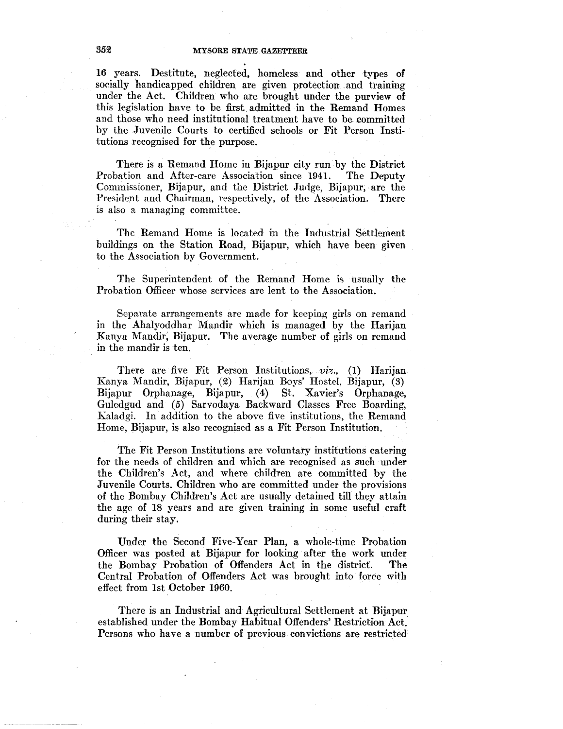16 years. Destitute, neglected, homeless and other types of socially handicapped children are given protection and training under the Act. Children who are brought under the purview of this legislation have to be first admitted in the Remand Homes and those who need institutional treatment have to be committed by the Juvenile Courts to certified schools or Fit Person Institutions recognised for the purpose.

There is a Remand Home in Bijapur city run by the District Probation and After-care Association since 1941. The Deputy Commissioner, Bijapur, and the District Judge, Bijapur, are the President and Chairman, respectively, of the Association. There is also a managing committee.

The Remand Home is located in the Industrial Settlement buildings on the Station Road, Bijapur, which have been given to the Association by Government.

The Superintendent of the Remand Home is usually the Probation Officer whose services are lent to the Association.

Separate arrangements are made for keeping girls on remand in the Ahalyoddhar Mandir which is managed by the Harijan Kanya Mandir; Bijapur. The average number of girls on remand in the mandir is ten.

There are five Fit Person Institutions, *viz.*, (1) Harijan Kanya Mandir, Bijapur, (Q) Harijan Boys' Hostel, Bijapur, (3) Bijapur Orphanage, Bijapur, (4) St. Xavier's Orphanage, Guledgud and (5) Sarvodaya Backward Classes Free Boarding, Kaladgi. In addition to the above five institutions, the Remand Home, Bijapur, is also recognised as a Fit Person Institution.

The Fit Person Institutions are voluntary institutions catering for the needs of children and which are recognised as such under the Children's Act, and where children are committed by the Juvenile Courts. Children who are committed under the provisions of the Bombay Children's Act are usually detained till they attain the age of 18 years and are given training in some useful craft during their stay.

Under the Second Five-Year Plan, a whole-time Probation Officer was posted at Bijapur for looking after the work under the Bombay Probation of Offenders Act in the district. The Central Probation of Offenders Act was brought into force with effect from 1st October 1960.

There is an Industrial and Agricultural Settlement at Bijapur established under the Bombay Habitual Offenders' Restriction Act." Persons who have a number of previous convictions are restricted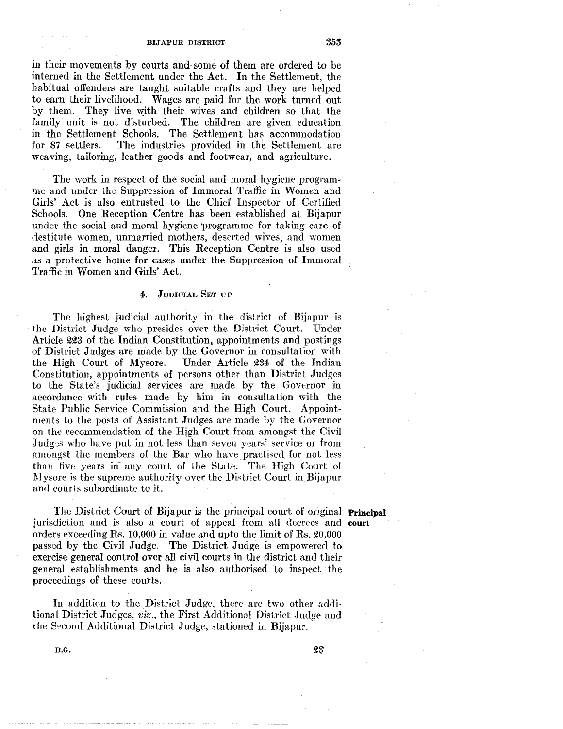in their movements by courts and some of them are ordered to be interned in the Settlement under the Act. In the Settlement, the habitual offenders are taught suitable crafts and they are helped to earn their livelihood. Wages are paid for the work turned out by them. They live with their wives and children so that the family unit is not disturbed. The children are given education in the Settlement Schools. The Settlement has accommodation for 87 settlers. The industries provided in the Settlement are weaving, tailoring, leather goods and footwear, and agriculture.

The work in respect of the social and moral hygiene programme and under the Suppression of Immoral Traffic in Women and Girls' Act is also entrusted to the Chief Inspector of Certified Schools. One Reception Centre has been established at Bijapur under the social and moral hygiene programme for taking care of destitute women, unmarried mothers, deserted wives, and women and girls in moral danger. This Reception Centre is also used as a protective home for cases under the Suppression of Immoral Traffic in Women and Girls' Act.

## 4. JUDICIAL SET-UP

The highest judicial authority in the district of Bijapur is the District Judge who presides over the District Court. Under Article 223 of the Indian Constitution, appointments and postings of District Judges are made by the Governor in consultation with the High Court of Mysore. Under Article 234 of the Indian Constitution, appointments of persons other than District Judges to the State's judicial services are made by the Governor in accordance with rules made by him in consultation with the State Public Service Commission and the High Court. Appointments to the posts of Assistant Judges are made by the Governor on the recommendation of the High Court from amongst the Civil Judges who have put in not less than seven years' service or from amongst the members of the Bar who have practised for not less than five years in any court of the State. The High Court of l\fysore is the supreme authority over the District Court in Bijapur and eourts subordinate to it.

The District Court of Bijapur is the principal court of original **Principal** jurisdiction and is also a court of appeal from all decrees and **court**  orders exceeding Rs. 10,000 in value and upto the limit of Rs. 20,000 passed by the Civil Judge. The District Judge is empowered to exercise general control over all civil courts in the district and their general establishments and he is also authorised to inspect the proceedings of these courts.

In addition to the District Judge, there are two other additional District Judges, *viz.,* the First Additional District Judge and the Second Additional District Judge, stationed in Bijapur.

B.G.

23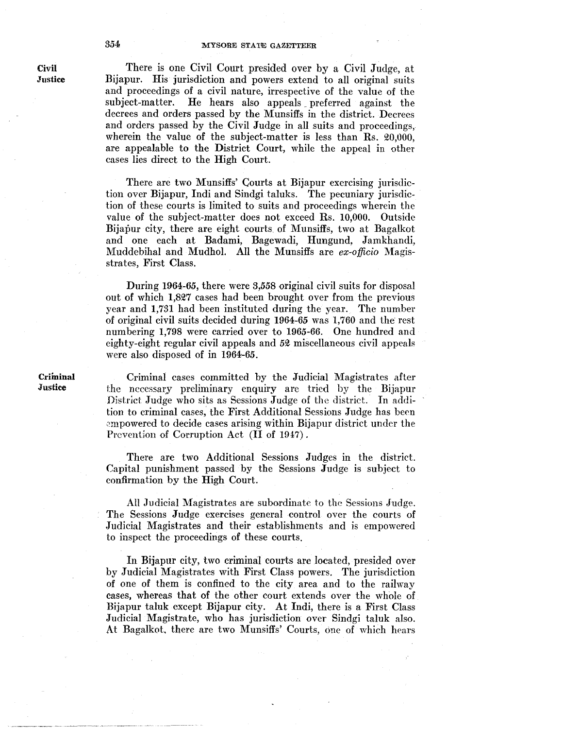There is one Civil Court presided over by a Civil Judge, at Bijapur. His jurisdiction and powers extend to all original suits and proceedings of a civil nature, irrespective of the value of the subject-matter. He hears also appeals\_ preferred against the decrees and orders passed by the Munsiffs in the district. Decrees and orders passed by the Civil Judge in all suits and proceedings, wherein the value of the subject-matter is less than Rs. 20,000, are appealable to the District Court, while the appeal in other cases lies direct to the High Court.

There are two Munsiffs' Courts at Bijapur exercising jurisdiction over Bijapur, Indi and Sindgi taluks. The pecuniary jurisdiction of these courts is limited to suits and proceedings wherein the value of the subject-matter does not exceed Rs. 10,000. Outside Bijapur city, there are eight courts of Munsiffs, two at Bagalkot and one each at Badami, Bagewadi, Hungund, Jamkhandi, Muddebihal and Mudhol. All the Munsiffs are *ex-officio* Magisstrates, First Class.

During 1964-65, there were *3,558* original civil suits for disposal out of which 1,827 cases had been brought over from the previous year and 1,731 had been instituted during the year. The number of original civil suits decided during 1964-65 was 1,760 and the rest numbering 1,798 were carried over to 1965-66. One hundred and eighty-eight regular civil appeals and *52* miscellaneous civil appeals were also disposed of in 1964·65.

Criminal cases committed by the Judicial Magistrates after the necessary preliminary enquiry are tried by the Bijapur District Judge who sits as Sessions Judge of the district. In addition to criminal cases, the First Additional Sessions Judge has been empowered to decide cases arising within Bijapur district under the Prevention of Corruption Act (II of 1947).

There are two Additional Sessions Judges in the district. Capital punishment passed by the Sessions Judge is subject to confirmation by the High Court.

All Judicial Magistrates are subordinate to the Sessions Judge. The Sessions Judge exercises general control over the courts of Judicial Magistrates and their establishments and is empowered to inspect the proceedings of these courts.

In Bijapur city, two crimina] courts are located, presided over by Judicial Magistrates with First Class powers. The jurisdiction of one of them is confined to the city area and to the railway cases, whereas that of the other court extends over the whole of Bijapur taluk except Bijapur city. At Indi, there is a First Class Judicial Magistrate, who has jurisdiction over Sindgi taluk also. At Bagalkot, there are two Munsiffs' Courts, one of which hears

Civil **Justice** 

Criminal **Justice**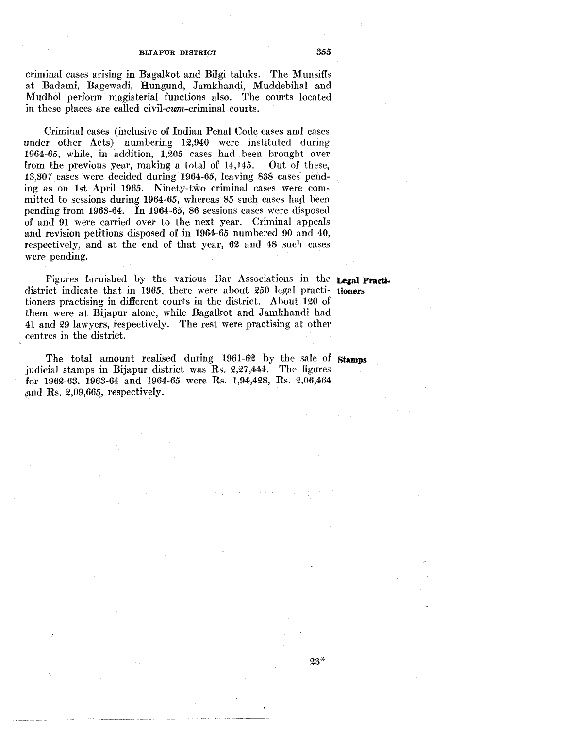criminal cases arising in Bagalkot and Bilgi taluks. The Munsiffs at Badami, Bagewadi, Hungund, Jamkhandi, Muddebihal and Mudhol perform magisterial functions also. The courts located in these places are called civil-cwn-criminal courts.

Criminal cases (inclusive of Indian Penal Code cases and cases under other Acts) numbering 12,940 were instituted during 1964-65, while, in addition, 1,205 cases had been brought over from the previous year, making a total of  $14,145$ . Out of these, 13,307 cases were decided during 1964-65, leaving 838 cases pending as on 1st April 1965. Ninety-two criminal cases were committed to sessions during 1964-65, whereas 85 such cases had been pending from 1963-64. In 1964-65, 86 sessions cases were disposed of and 91 were carried over to the next year. Criminal appeals and revision petitions disposed of in 1964-65 numbered 90 and 40, respectively, and at the end of that year, 62 and 48 such cases were pending.

Figures furnished by the various Bar Associations in the **Legal Practi·**  district indicate that in 1965, there were about 250 legal practi- tioners tioners practising in different courts in the district. About 120 of them were at Bijapur alone, while Bagalkot and Jamkhandi had 41 and 29 lawyers, respectively. The rest were practising at other centres in the district.

The total amount realised during 1961-62 by the sale of **stamps**  judicial stamps in Bijapur district was Rs. 2,27,444. The figures for 1962-63, 1963-64 and 1964-65 were Rs. 1,94,428, Rs. 2,06,464 , and Rs.  $2,09,665$ , respectively.

 $23*$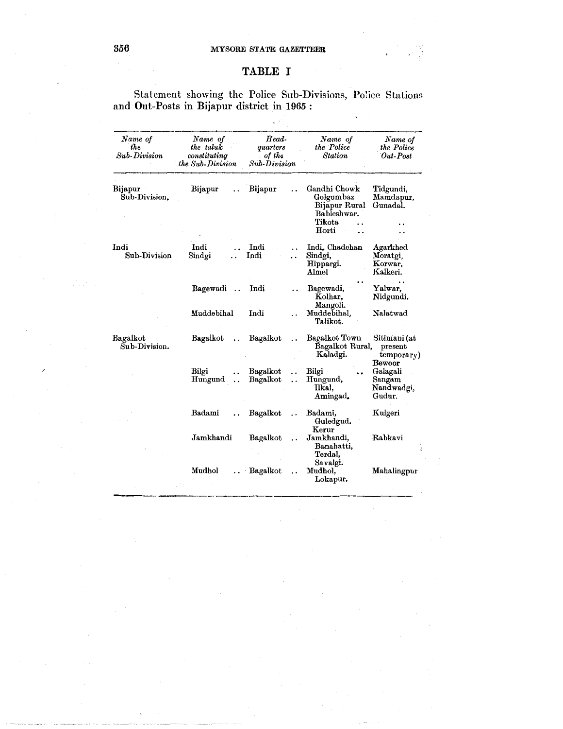# **TABLE I**

Statement showing the Police Sub-Divisions, Police Stations and Out-Posts in Bijapur district in 1965 :

 $\frac{1}{\sqrt{2}}\left\langle \mathcal{V}^{\dagger}\right\rangle$ 

| Name of<br>the<br>Sub-Division | Name of<br>the taluk<br>constituting<br>the Sub-Division | Head-<br>quarters<br>of the<br>Sub-Division  | Name of<br>the Police<br><b>Station</b>                                      | Name of<br>the Police<br>Out-Post                  |
|--------------------------------|----------------------------------------------------------|----------------------------------------------|------------------------------------------------------------------------------|----------------------------------------------------|
| Bijapur<br>Sub-Division.       | Bijapur                                                  | Bijapur                                      | Gandhi Chowk<br>Golgumbaz<br>Bijapur Rural<br>Bableshwar.<br>Tikota<br>Horti | Tidgundi,<br>Mamdapur,<br>Gunadal.                 |
| Indi<br>Sub-Division           | Indi<br>Sindgi                                           | Indi<br>Indi                                 | Indi, Chadchan<br>Sindgi,<br>Hippargi.<br>Almel                              | <b>Agarkhed</b><br>Moratgi,<br>Korwar.<br>Kalkeri. |
|                                | Bagewadi                                                 | Indi                                         | Bagewadi,<br>Kolhar.<br>Mangoli.                                             | Yalwar,<br>Nidgundi.                               |
|                                | Muddebihal                                               | Indi                                         | Muddebihal.<br>Talikot.                                                      | Nalatwad                                           |
| Bagalkot<br>Sub-Division.      | Bagalkot                                                 | Bagalkot                                     | Bagalkot Town<br>Bagalkot Rural,<br>Kaladgi.                                 | Sitimani (at<br>present<br>$temporary$ )<br>Bewoor |
|                                | Bilgi<br>Hungund                                         | Bagalkot<br>Bagalkot<br>$\ddot{\phantom{a}}$ | Bilgi<br>Hungund,<br>Ilkal.<br>Amingad.                                      | Galagali<br>Sangam<br>Nandwadgi,<br>Gudur.         |
|                                | Badami                                                   | Bagalkot                                     | Badami,<br>Guledgud.                                                         | Kulgeri                                            |
|                                | Jamkhandi                                                | Bagalkot                                     | Kerur<br>Jamkhandi,<br>Banahatti,<br>Terdal,                                 | Rabkavi                                            |
|                                | Mudhol                                                   | Bagalkot                                     | Savalgi.<br>Mudhol,<br>Lokapur.                                              | Mahalingpur                                        |